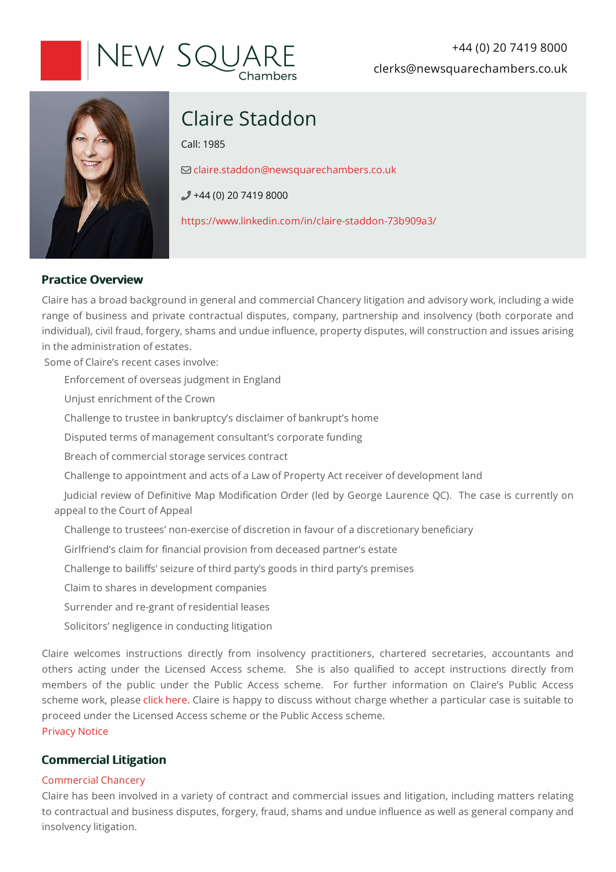# New Squaf

+44 (0) 20 7419 8000 clerks@newsquarechambers.co.uk



# Claire Staddon

Call:1985

[claire.staddon@newsquarechambers.co.uk](mailto:claire.staddon@newsquarechambers.co.uk)

 $+44(0)$  20 7419 8000

<https://www.linkedin.com/in/claire-staddon-73b909a3/>

# **Practice Overview**

Claire has a broad background in general and commercial Chancery litigation and advisory work, including a wide range of business and private contractual disputes, company, partnership and insolvency (both corporate and individual), civil fraud, forgery, shams and undue influence, property disputes, will construction and issues arising in the administration of estates.

Some of Claire's recent cases involve:

Enforcement of overseas judgment in England

Unjustenrichment of the Crown

Challenge to trustee in bankruptcy's disclaimer of bankrupt's home

Disputed terms of management consultant's corporate funding

Breach of commercial storage services contract

Challenge to appointment and acts of a Law of Property Act receiver of development land

Judicial review of Definitive Map Modification Order (led by George Laurence QC). The case is currently on appeal to the Court of Appeal

Challenge to trustees' non-exercise of discretion in favour of a discretionary beneficiary

Girlfriend's claim for financial provision from deceased partner's estate

Challenge to bailiffs' seizure of third party's goods in third party's premises

Claim to shares in development companies

Surrender and re-grant of residential leases

Solicitors' negligence in conducting litigation

Claire welcomes instructions directly from insolvency practitioners, chartered secretaries, accountants and others acting under the Licensed Access scheme. She is also qualified to accept instructions directly from members of the public under the Public Access scheme. For further information on Claire's Public Access scheme work, please click [here.](https://www.newsquarechambers.co.uk/BarristerAdmin/MemberAddEdit/ImageLibrary/CS-Updated%20public%20access%20text%20for%20website%2011.3.20.pdf) Claire is happy to discuss without charge whether a particular case is suitable to proceed under the Licensed Access scheme or the Public Access scheme.

[Privacy](https://www.newsquarechambers.co.uk/BarristerAdmin/MemberAddEdit/ImageLibrary/CS%20Privacy%20Notice%2021.9.18.pdf) Notice

# **Commercial Litigation**

# Commercial Chancery

Claire has been involved in a variety of contract and commercial issues and litigation, including matters relating to contractual and business disputes, forgery, fraud, shams and undue influence as well as general company and insolvency litigation.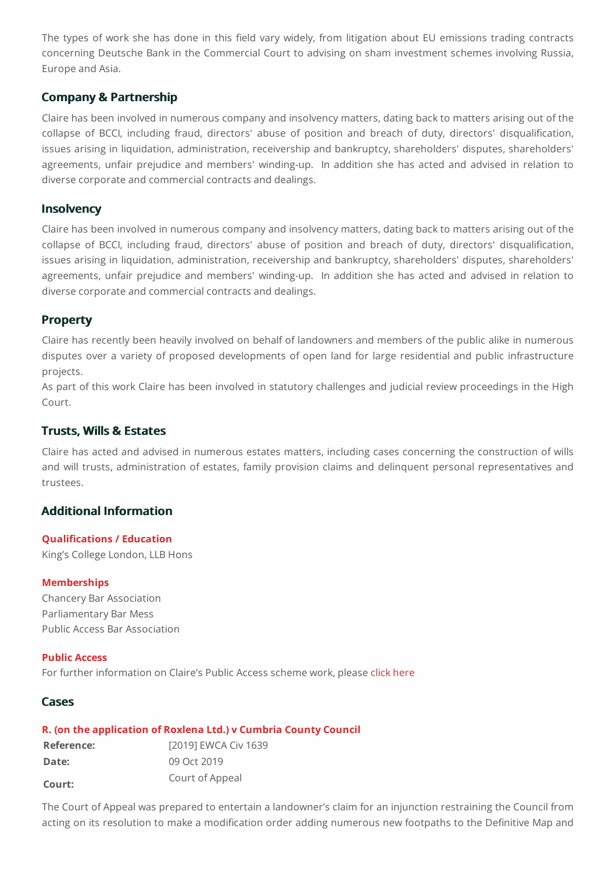The types of work she has done in this field vary widely, from litigation about EU emissions trading contracts concerning Deutsche Bank in the Commercial Court to advising on sham investment schemes involving Russia, Europeand Asia.

# **Company & Partnership**

Claire has been involved in numerous company and insolvency matters, dating backto matters arising out of the collapse of BCCI, including fraud, directors' abuse of position and breach of duty, directors' disqualification, issues arising in liquidation, administration, receivership and bankruptcy, shareholders' disputes, shareholders' agreements, unfair prejudice and members' winding-up. In addition she has acted and advised in relation to diverse corporate and commercial contracts and dealings.

# **Insolvency**

Claire has been involved in numerous company and insolvency matters, dating backto matters arising out of the collapse of BCCI, including fraud, directors' abuse of position and breach of duty, directors' disqualification, issues arising in liquidation, administration, receivership and bankruptcy, shareholders' disputes, shareholders' agreements, unfair prejudice and members' winding-up. In addition she has acted and advised in relation to diverse corporate and commercial contracts and dealings.

# **Property**

Claire has recently been heavily involved on behalf of landowners and members of the public alike in numerous disputes over a variety of proposed developments of open land for large residential and public infrastructure projects.

As part of this work Claire has been involved in statutory challenges and judicial review proceedings in the High Court.

# **Trusts, Wills & Estates**

Claire has acted and advised in numerous estates matters, including cases concerning the construction of wills and will trusts, administration of estates, family provision claims and delinquent personal representatives and trustees.

# **Additional Information**

#### **Qualifications / Education**

King's College London, LLB Hons

#### **Memberships**

Chancery Bar Association Parliamentary Bar Mess Public Access Bar Association

#### **Public Access**

For further information on Claire's Public Access scheme work, please click [here](https://www.newsquarechambers.co.uk/BarristerAdmin/MemberAddEdit/ImageLibrary/Claire%20Staddon%20-%20Public%20Access%20Text%202020.pdf)

# **Cases**

# **R. (on the application of Roxlena Ltd.)v Cumbria County Council**

| Reference: | [2019] EWCA Civ 1639 |
|------------|----------------------|
| Date:      | 09 Oct 2019          |
| Court:     | Court of Appeal      |

The Court of Appeal was prepared to entertain a landowner's claim for an injunction restraining the Council from acting on its resolution to make a modification order adding numerous new footpaths to the Definitive Map and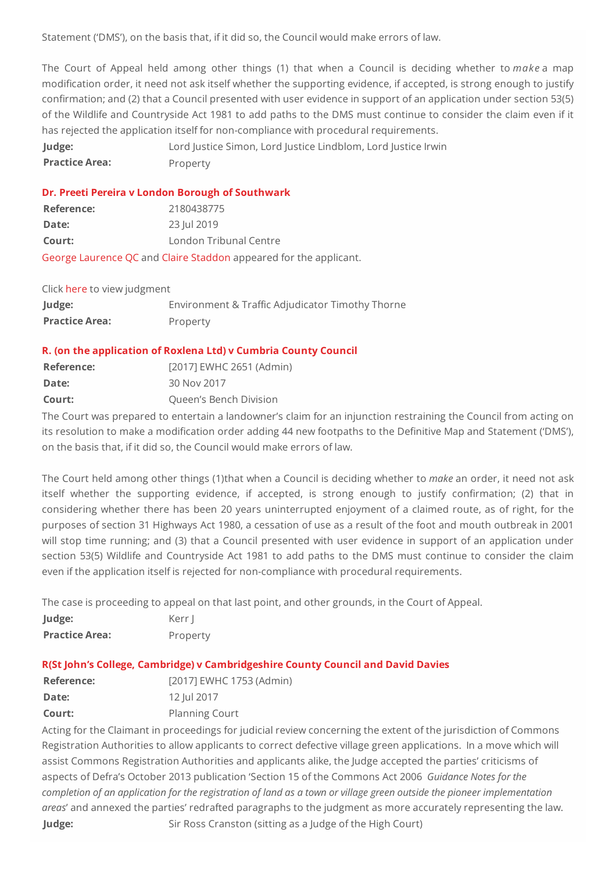Statement ('DMS'), on the basis that, if it did so, the Council would make errors of law.

The Court of Appeal held among other things (1) that when a Council is deciding whether to *make*a map modification order, it need not ask itself whether the supporting evidence, if accepted, is strong enough to justify confirmation; and (2) that a Council presented with user evidence in support of an application under section 53(5) of the Wildlife and Countryside Act 1981 to add paths to the DMS must continue to consider the claim even if it has rejected the application itself for non-compliance with procedural requirements.

**Judge:** Lord Justice Simon, Lord Justice Lindblom, Lord Justice Irwin **Practice Area:** Property

#### **Dr.** Preeti Pereira **v** London Borough of Southwark

| Reference:                                                        | 2180438775             |  |
|-------------------------------------------------------------------|------------------------|--|
| Date:                                                             | 23 Jul 2019            |  |
| Court:                                                            | London Tribunal Centre |  |
| George Laurence QC and Claire Staddon appeared for the applicant. |                        |  |

| Click here to view judgment |                                                  |
|-----------------------------|--------------------------------------------------|
| Judge:                      | Environment & Traffic Adjudicator Timothy Thorne |
| <b>Practice Area:</b>       | Property                                         |

#### **R. (on the application of Roxlena Ltd)v Cumbria County Council**

| Reference: | [2017] EWHC 2651 (Admin) |
|------------|--------------------------|
| Date:      | 30 Nov 2017              |
| Court:     | Queen's Bench Division   |

The Court was prepared to entertain a landowner's claim for an injunction restraining the Council from acting on its resolution to make a modification order adding 44 new footpaths to the Definitive Map and Statement ('DMS'), on the basis that, if it did so, the Council would make errors of law.

The Court held among other things (1)that when a Council is deciding whether to *make*an order, it need not ask itself whether the supporting evidence, if accepted, is strong enough to justify confirmation; (2) that in considering whether there has been 20 years uninterrupted enjoyment of a claimed route, as of right, for the purposes of section 31 Highways Act 1980, a cessation of use as a result of the foot and mouth outbreak in 2001 will stop time running; and (3) that a Council presented with user evidence in support of an application under section 53(5) Wildlife and Countryside Act 1981 to add paths to the DMS must continue to consider the claim even if the application itself is rejected for non-compliance with procedural requirements.

The case is proceeding to appeal on that last point, and other grounds, in the Court of Appeal.

| Judge:                | Kerr I   |
|-----------------------|----------|
| <b>Practice Area:</b> | Property |

# **R(St John's College, Cambridge)v Cambridgeshire County Council and David Davies**

| Reference: | [2017] EWHC 1753 (Admin) |
|------------|--------------------------|
| Date:      | 12 Jul 2017              |
| Court:     | <b>Planning Court</b>    |

Acting for the Claimant in proceedings for judicial review concerning the extent of the jurisdiction of Commons Registration Authorities to allow applicants to correct defective village green applications. In a move which will assist Commons Registration Authorities and applicants alike, the Judge accepted the parties' criticisms of aspects of Defra's October 2013 publication 'Section 15 of the Commons Act2006 *Guidance Notes for the completionofanapplicationfor the registrationof landasatownor village greenoutside thepioneer implementation areas'* and annexed the parties' redrafted paragraphs to the judgment as more accurately representing the law. **Judge:** Sir Ross Cranston (sitting as a Judge of the High Court)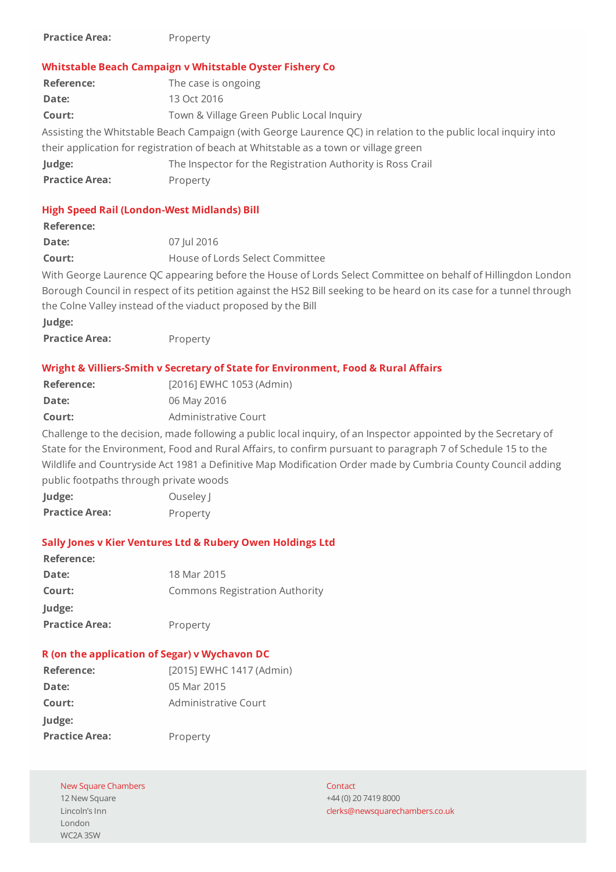| <b>Practice Area:</b> | Property |
|-----------------------|----------|
|-----------------------|----------|

#### **Whitstable Beach Campaign v Whitstable Oyster Fishery Co**

| <b>Reference:</b>                                                                                              | The case is ongoing                                        |  |
|----------------------------------------------------------------------------------------------------------------|------------------------------------------------------------|--|
| Date:                                                                                                          | 13 Oct 2016                                                |  |
| Court:                                                                                                         | Town & Village Green Public Local Inquiry                  |  |
| Assisting the Whitstable Beach Campaign (with George Laurence QC) in relation to the public local inquiry into |                                                            |  |
| their application for registration of beach at Whitstable as a town or village green                           |                                                            |  |
| Judge:                                                                                                         | The Inspector for the Registration Authority is Ross Crail |  |
| <b>Practice Area:</b>                                                                                          | Property                                                   |  |

### **High Speed Rail (London-West Midlands) Bill**

#### **Reference:**

| Date:  | 07 Jul 2016                     |
|--------|---------------------------------|
| Court: | House of Lords Select Committee |

With George Laurence QC appearing before the House of Lords Select Committee on behalf of Hillingdon London Borough Council in respect of its petition against the HS2 Bill seeking to be heard on its casefor atunnel through the Colne Valley instead of the viaduct proposed by the Bill

| Judge:                |          |
|-----------------------|----------|
| <b>Practice Area:</b> | Property |

#### **Wright & Villiers-Smith v Secretary of State for Environment, Food & Rural Affairs**

| Reference: | [2016] EWHC 1053 (Admin) |
|------------|--------------------------|
| Date:      | 06 May 2016              |
| Court:     | Administrative Court     |

Challenge to the decision, made following a public local inquiry, of an Inspector appointed by the Secretary of State for the Environment, Food and Rural Affairs, to confirm pursuant to paragraph 7 of Schedule 15 to the Wildlife and Countryside Act 1981 a Definitive Map Modification Order made by Cumbria County Council adding public footpaths through private woods

| Judge:                | Ouseley J |
|-----------------------|-----------|
| <b>Practice Area:</b> | Property  |

#### **SallyJonesv Kier VenturesLtd & Rubery Owen HoldingsLtd**

| Reference:            |                                       |
|-----------------------|---------------------------------------|
| Date:                 | 18 Mar 2015                           |
| Court:                | <b>Commons Registration Authority</b> |
| Judge:                |                                       |
| <b>Practice Area:</b> | Property                              |

#### **R** (on the application of Segar) v Wychavon DC

| Reference:            | [2015] EWHC 1417 (Admin) |
|-----------------------|--------------------------|
| Date:                 | 05 Mar 2015              |
| Court:                | Administrative Court     |
| Judge:                |                          |
| <b>Practice Area:</b> | Property                 |

#### New Square Chambers

12 New Square Lincoln's Inn London WC2A 3SW

**Contact** +44(0)2074198000 [clerks@newsquarechambers.co.uk](mailto:clerks@newsquarechambers.co.uk)